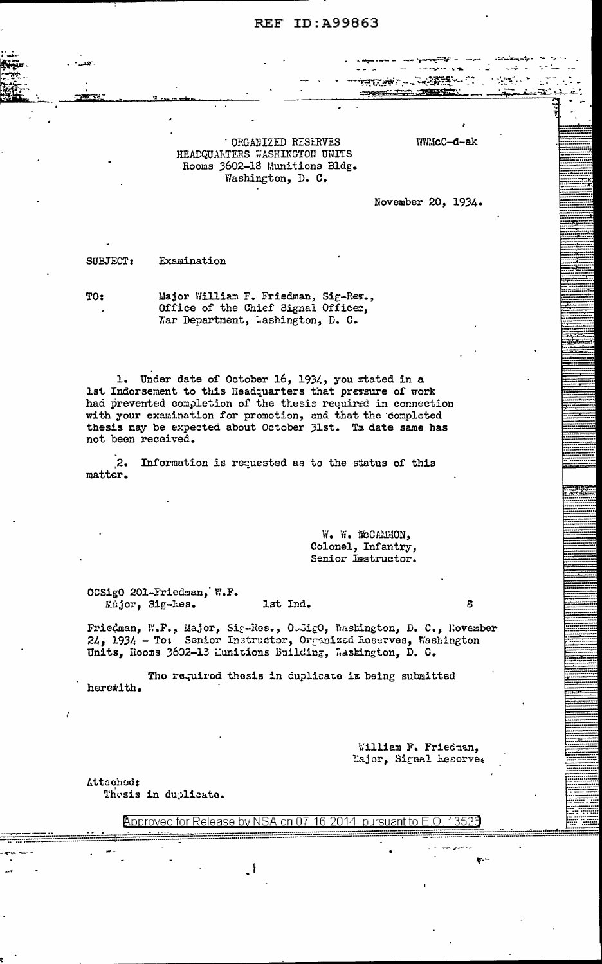ORGANIZED RESERVES HEADQUARTERS WASHINGTON UNITS Rooms 3602-18 Munitions Bldg. Washington, D. C.

WMcC-d-ak

 $\sim$   $\sim$   $\sim$ 

والمجود سيبعد

November 20, 1934.

SUBJECT: Examination

TO:

Major William F. Friedman, Sig-Res., Office of the Chief Signal Officer, War Department, Mashington, D. C.

1. Under date of October 16, 1934, you stated in a 1st Indorsement to this Headquarters that pressure of work had prevented completion of the thesis required in connection with your examination for promotion, and that the completed thesis may be expected about October 31st. To date same has not been received.

 $\mathbf{2}$ Information is requested as to the status of this matter.

> W. W. MCCAMMON, Colonel, Infantry, Senior Instructor.

OCSigO 201-Friedman, W.F. Kajor. Sig-hes. lst Ind.

Friedman, W.F., Major, Sig-Res., OUSigO, Washington, D. C., November 24, 1934 - To: Senior Instructor, Organized Reserves, Washington Units, Rooms 3602-13 Munitions Building, Washington, D. C.

The required thesis in cuplicate is being submitted heretith.

> William F. Friedman, Lajor, Signal heserve.

 $\overline{a}$ 

Attached:

Thesis in duplicate.

Approved for Release by NSA on 07-16-2014 pursuant to E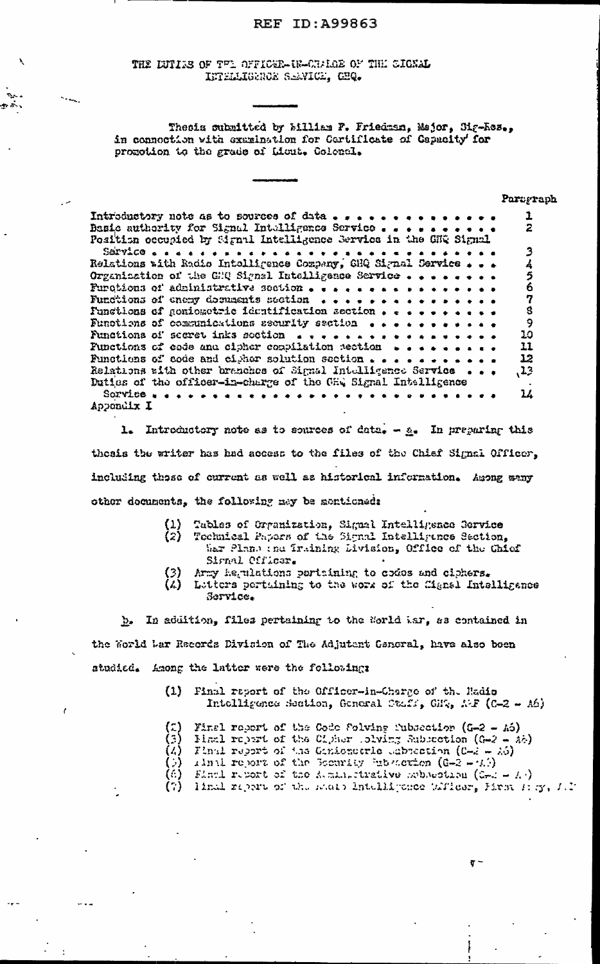THE LUTIUS OF THE OFFICER-IR-CHAIGE OF THE CIGNAL INTELLIGENCE SEAVIGE, CHQ.

Thesis submitted by Milliam F. Friedman, Major, Sig-Ros., in connection with examination for Cartificate of Capacity' for promotion to the grade of Licut. Colencl.

|                                                                                                                                | Paragraph           |
|--------------------------------------------------------------------------------------------------------------------------------|---------------------|
| Introductory note as to sources of data                                                                                        |                     |
| Basic authority for Signal Intulligence Service<br>Position occupied by Signal Intelligence Servics in the GNQ Signal          | 2                   |
|                                                                                                                                |                     |
| Relations with Radio Intolligence Company, GHQ Signal Service , , ,                                                            |                     |
| Organization of the GHQ Signel Intelligence Service                                                                            |                     |
| Purctions of administrative soction                                                                                            | $\ddot{\mathbf{6}}$ |
|                                                                                                                                | 7                   |
| Functions of gomiozetric identification section , $\epsilon$ , , , , , , , , , ,                                               | Ś                   |
| Functions of compunications ascurity saction $\bullet \bullet \bullet \bullet \bullet \bullet \bullet \bullet \bullet \bullet$ | 9                   |
|                                                                                                                                | 10                  |
| Functions of code and cipher compilation nection $\rightarrow$                                                                 | 11                  |
| Functions of code and cigher solution section $\ldots$ 12                                                                      |                     |
| Relations with other branches of Signal Intelligence Service $\bullet$ ,                                                       | 13                  |
| Duties of the officer-in-charge of the GEQ Signal Intelligence                                                                 |                     |
| $S\circ T$ vice $\cdots$                                                                                                       | 14                  |
| Appendix I                                                                                                                     |                     |

1. Introductory note as to sources of data.  $-\underline{s}_*$  In preparing this thesis the writer has had access to the files of the Chief Signal Officer, including these of current as well as historical information. Among many other decuments, the following may be mentioned:

- $\begin{pmatrix} 1 \\ 2 \end{pmatrix}$ Tubles of Organization, Signal Intelligence Service
	- Technical Papers of the Signal Intelligence Section, War Plans the Irsining Livision, Office of the Chief Signal Cfficer.
- Army hegulations pertaining to codes and ciphers.
- $(\lambda)$ Lutters pertuining to the work of the fignal intelligance Service.

b. In addition, files pertaining to the Norld Mar, as contained in the World Lar Records Division of The Adjutant General, have also been studied. Among the latter were the following:

> (1) Final report of the Officer-in-Charge of the Radio Intelligence Section, General Staff, GHZ, AF (C-2 - A6)

|  |  | (2) Final report of the Code Solving Tubscation (G-2 - A6)<br>(3) Pinal report of the Cipher Islving Subscation (G-2 - A6) |
|--|--|----------------------------------------------------------------------------------------------------------------------------|
|  |  |                                                                                                                            |
|  |  | $(A)$ Final report of the Ginionscrie esbection (C-2 - 26)                                                                 |
|  |  | (b) time report of the Bearity Entertion (G-2 - $(L)$ )                                                                    |
|  |  | (6) Final report of the Augustizeilye schoeding (2-2 - A)                                                                  |
|  |  | (7) Timel report of the seats Intelligence Wilcom, Hrst Hey, J.J.                                                          |

 $\sigma$  –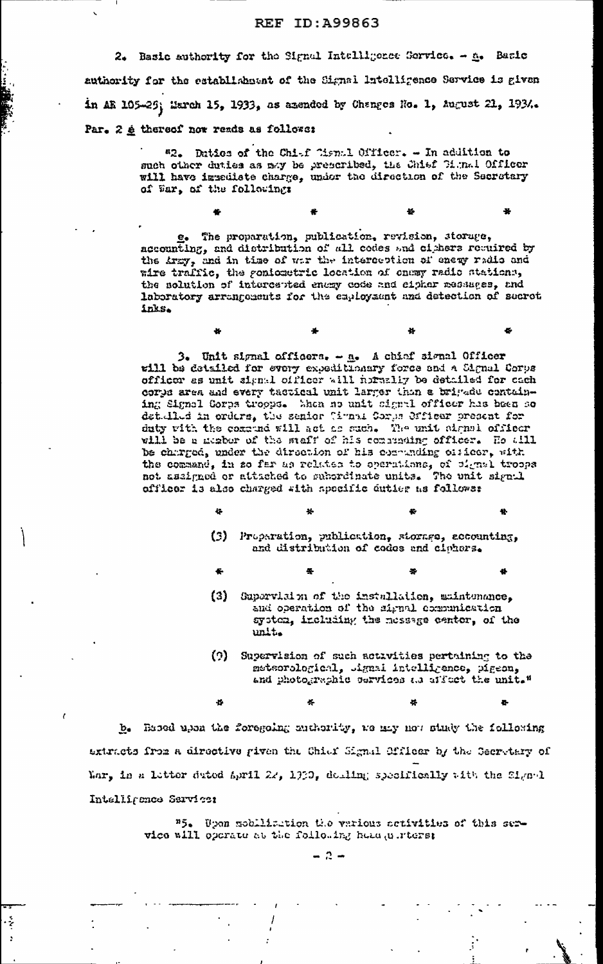2. Basic authority for the Signal Intelligence Service. - A. Basic authority for the establishment of the Signal Intelligence Service is given in AR 105-29; March 15, 1933, as azended by Changes No. 1, August 21, 1934. Par. 2 é thereof now reads as followe:

> "2. Daties of the Chief Cismal Officer. - In addition to such other duties as may be prescribed, the Chief Cignal Officer will have immediate charge, under the direction of the Secretary of War, of the following:

e. The proparation, publication, revision, storage, accounting, and distribution of all codes and cichers required by the Army, and in time of war the interception of energ radio and wire traffic, the gonicectric location of onemy radio stations, the nolution of intercepted enery code and sipher messages, and laboratory arrangements for the capicysant and detection of secret inks.

æ

3. Unit signal officers. - a. A chief signal Officer will be detailed for every expeditionary force and a Signal Corps officer as unit signal officer will hormally be detailed for cach corps area and every tactical unit larger than a brigade containing Signal Corps troops. Macn so unit signal officer has been so det llud in orders, the senior Cimpal Corps Officer present for duty with the commence will act as such. The unit signal officer will be a mapber of the staff of his contrading officer. He all be charged, under the direction of his comunding officer, with the command, in so far as relates to operations, of cignal troops not assigned or attached to subordinate units. The unit signal officer is also charged sith specific duties as follows:

- 
- (3) Proparation, publication, storage, accounting, and distribution of codes and ciphers.
- 桑
- (3) Supervision of the installation, maintenance, and operation of the signal communication system, including the nessage center, of the unit.
- $(2)$ Supervision of such activities pertaining to the metsorological, signal intelligence, pigeon, and photographic cervices as affect the unit."

Ą.

b. Based upon the foregoing muthority, we may not study the following axtracts from a directive given the Chiaf Signal Officer by the Secretary of Mar, in a letter dated April 22, 1930, dealing specifically with the Signal Intelligence Sarvice:

ķ.

 $\mathbf{r}$ 

Wpon mobilization the various scrivities of this ser $n_{5a}$ vice will operate at the following head uniters:

 $-2 -$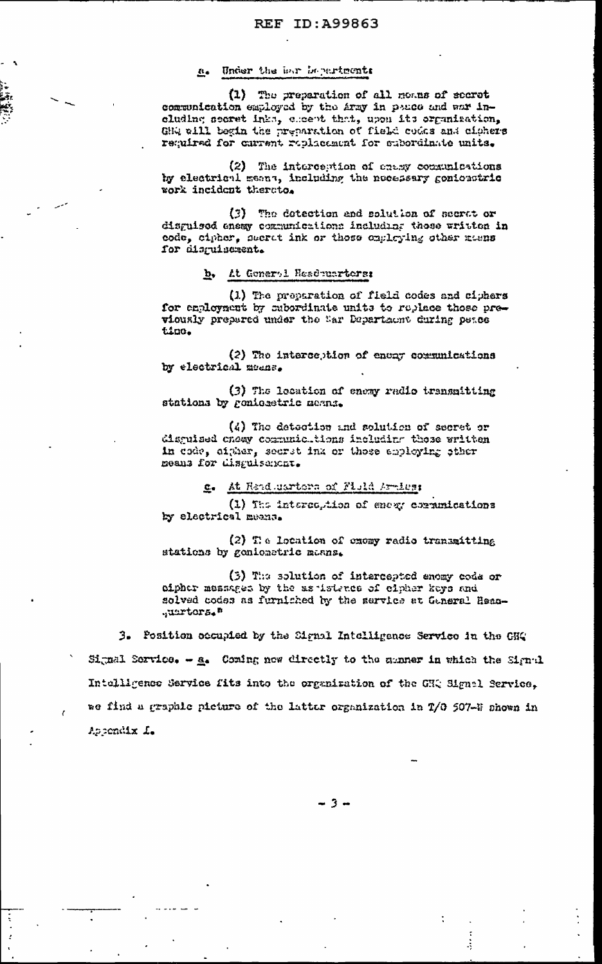#### a. Under the har bepartments

(1) The preparation of all momes of secret communication employed by the Army in peace and war including secret inks, escent that, upon its organization, GHQ will begin the preparation of field codes and cichers required for current replacement for subordinate units.

(2) The interception of chany consumications by electrical means, including the necessary gonioustric work incident therato.

(3) The detection and solution of secret or disguised enemy communications including these written in code, cipher, secret ink or those onglaying other meens for disguiscrent.

#### b. At Generol Headmarters:

(1) The proparation of field codes and ciphers for employment by subordinate units to replace those previously prepared under the Sar Department during peace ting.

(2) The interception of energy communications by electrical means.

(3) The lecation of enexy radio transmitting stations by gonioectric means.

(4) The detection and solution of secret or disguised cheay communicutions including those written in code, aither, secret ink or those apploying other means for disguisement.

#### At Read marters of Field Arates:  $c_{\bullet}$

(1) The interception of enexy communications by electrical means.

(2) The location of except radio transmitting stations by genionatric manns.

(3) The solution of intercepted enemy code or oipher messages by the as isterce of cipher keys and solved codes as furniched by the service at Ganeral Head-.uurtors."

3. Position occupied by the Signal Intelligence Service in the GHQ Signal Sorvice. - a. Coming now directly to the manner in which the Signal Intelligence Service fits into the organization of the GHQ Signal Service, me find a graphic picture of the latter organization in T/O 507-# shown in Appendix L.

 $-3-$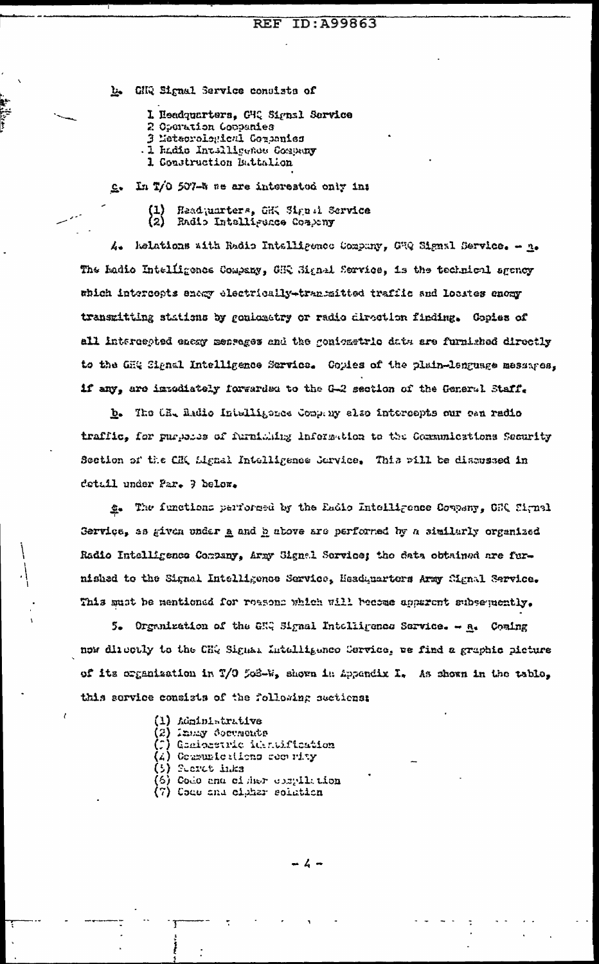CHQ Signal Service consists of 上

I Headquarters, CHQ Signal Service

- 2 Operation Coppenies
- 3 Metaorological Companies
- I hadis Intelligence Company
- 1. Construction Buttalion

In T/O 507-5 se are interested only in:  $c_{\star}$ 

> Headquarters, GHK Signal Service (2) Radio Intelligence Company

Relations with Radio Intelligence Compuny, GRQ Signal Service. - n.  $\mathcal{L}_{\bullet}$ The hadio Intelligence Company, GHQ Signal Service, is the technical sgency which intercepts enery electrically-transmitted traffic and locates enery transmitting stations by gonicatory or radio direction finding. Gopies of all intercepted enexy mentages and the gonionstric data are furnished directly to the GHQ Signal Intelligence Service. Copies of the plain-language messages, if any, are intediately forwarded to the G-2 section of the General Staff.

b. The CR, Radio Intelligence Company also intercepts our ean radio traffic, for purposes of furnicing information to the Communications Security Section of the CH( Lignal Intelligence Service, This pill be discussed in detail under Par. 7 below.

g. The functions performed by the Eadio Intelligence Company, CRI Signal Gervice, as given under a and h above are performed by a similarly organized Radio Intelligence Company, Army Signal Service; the data obtained are furnished to the Signal Intelligence Service, Meadquarters Army Signal Service. This must be mentioned for reasons which will become apparent subsequently.

5. Organization of the GHQ Signal Intelligence Sarvice. - A. Coming now directly to the CHQ Signal Intelligence Service, we find a graphic picture of its organization in T/O 503-W, shown in Appendix I. As shown in the table, this service consists of the following sections:

- (1) Administrative
- (2) Innsy Corments
- (C) Graiosetric identification
- (4) Communications commuty
- (5) Sucret inks
- (6) Code and cisher compilation
- (7) Code and cipher solution

- ሬ -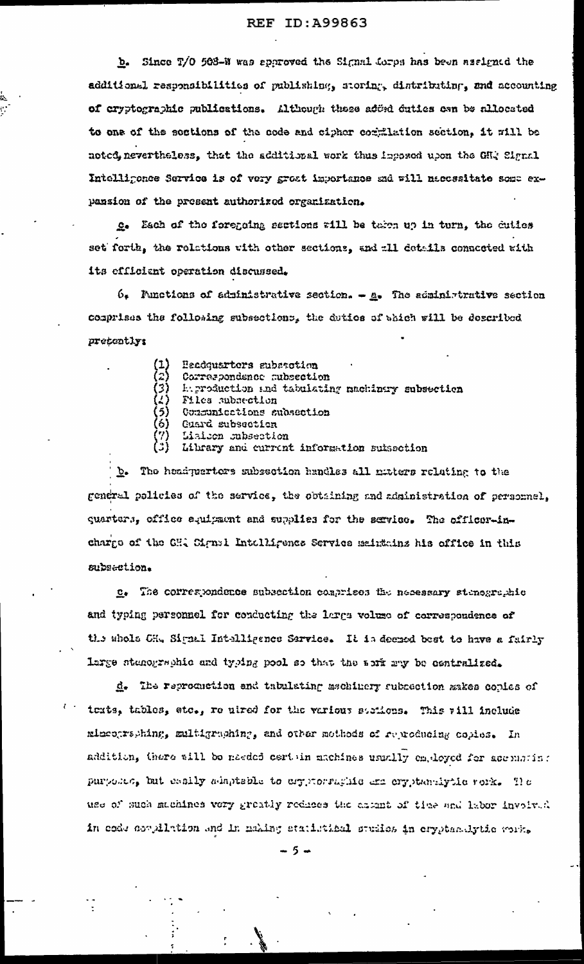b. Since T/O 508-W was approved the Signal forps has been assigned the additional responsibilities of publishing, storing, distributing, and accounting of cryptographic publications. Although these added duties cen be allocated to one of the sections of the code and cipher commilation section, it will be noted, nevertheless, that the additional work thus inposed upon the GHQ Signal Intelligence Service is of very great importance and will naccesitate some expansion of the present authorized organization.

c. Each of the foregoing sections will be taken up in turn, the duties set forth, the relations with other sections, and all details connected with its efficient operation discussed.

 $6.$  Functions of administrative section.  $-\underline{a}$ . The administrative section comprises the following subsections, the detice of which will be described pretently:

| $\begin{pmatrix} 1 \\ 2 \end{pmatrix}$ | Headquarters subsection                          |  |
|----------------------------------------|--------------------------------------------------|--|
|                                        | Correspondence subsection                        |  |
| 3)                                     | In production and tabulating meminary subsection |  |
|                                        | 4) Files subsection                              |  |
| 5)                                     | Communications subsection                        |  |
| 6)                                     | <b>Cuard subsection</b>                          |  |
| 7)                                     | Lialsen subsection                               |  |

(3) Library and current information subsection

b. The headquerters subsection handles all nutters relating to the general policies of the service, the obtaining and administration of personnel, quarters, office equipsent and supplies for the service. The officer-incharge of the CH, Cignal Intelligence Service meintains his office in this subsection.

c. The correspondence subsection comprises the necessary stenegraphic and typing personnel for conducting the large volume of correspondence of the abols CH. Signal Intelligence Sarvice. It is deeped best to have a fairly large stanographic and typing pool so that the soff may be centralized.

d. The reproduction and tabulating aschinery subsection makes copies of texts, tables, etc., re uired for the various stations. This will include minentraphing, multigraphing, and other mothods of reproducing copies. In addition, there will be needed certain machines usually employed for accumpting purposes, but easily adaptable to ergytorraghic ame ergytamiytic rock. The use of such michines very greatly reduces the asiant of time and labor involved in code coulletion and in making statistical studies in crypter-dytic varia

 $5 -$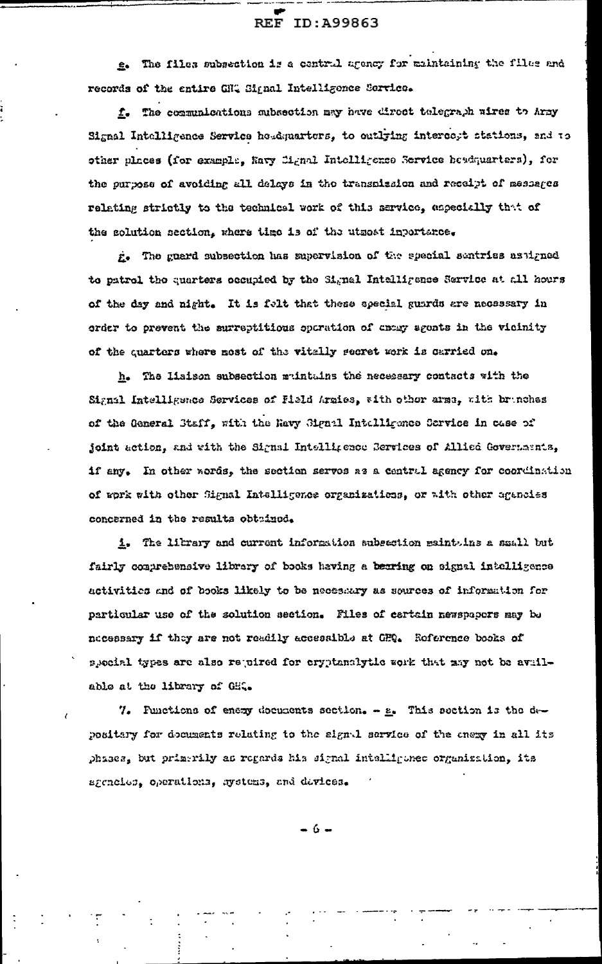e. The files subsection is a central agency for maintaining the files and records of the entire GHQ Signal Intelligence Service.

f. The communications subsection may have direct talegraph wires to Army Signal Intelligence Service headquarters, to outlying intercept stations, and to other places (for example, Navy Cignal Intelligence Service beadquarters), for the purpose of avoiding all delays in the transmission and receipt of messages relating strictly to the technical work of this sarvice, especially that of the solution section, where time is of the utmost inportance.

g. The guerd subsection has supervision of the special sentries as igned to patrol the quarters occupied by the Signal Intelligence Service at all hours of the day and night. It is folt that these special guards are necessary in order to prevent the surreptitious operation of enery sgonts in the vicinity of the quarters where most of the vitally secret work is carried on.

h. The lisison subsection muintains the necessary contacts with the Signal Intelligence Services of Field Armies, with other arms, with branches of the General Staff, with the Ravy Signal Intelligence Scrvice in case of joint action, and with the Signal Intelligence Berrices of Allice Governments, if any. In other words, the section servos as a central agency for coordination of work with other Signal Intelligence organizatiens, or with other agencies concerned in the results obtained.

1. The library and current information subsection maintuins a small but fairly comprehensive library of books having a bearing on signal intolligence activities and of books likely to be necessary as sources of information for particular use of the solution section. Files of cartain newspapers may be necessary if they are not readily accessible at GFQ. Reference books of special types are also rejuired for cryptanalytic work that may not be available at the library of GH..

7. Functions of enexy documents section. - g. This section is the depositary for documents relating to the signal service of the enery in all its phases, but primerily as regards his signal intelligence organization, its agencies, operations, systems, and devices.

- 6 -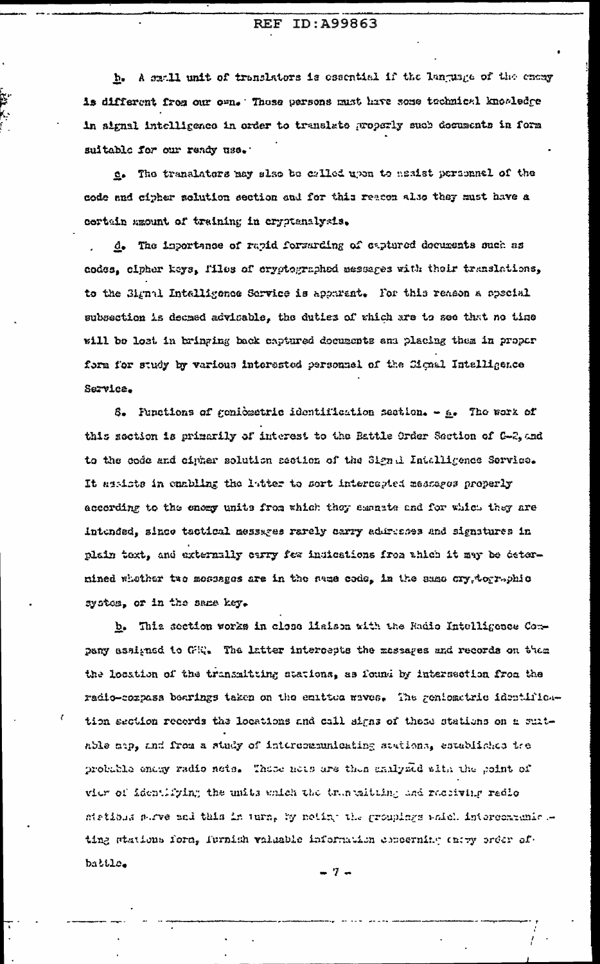h. A small unit of translators is essential if the language of the energy is different from our own. These persons must have some technical knowledge in aignal intelligence in order to translate properly such decuments in form suitable for our ready use.

e. The translators may slso be called upon to assist personnel of the code and cipher solution section and for this reacon also they must have a certain macunt of training in cryptenalysis.

d. The importance of rapid forsarding of captured decuments such as codes, cipher keys, files of cryptographed assuspes with their translations, to the Signal Intelligence Service is apparent. For this reason a special subsection is decaed advisable, the duties of which are to see that no time will be lost in bringing back captured documents and placing them in proper form for study by various interested personnel of the Cignal Intelligence Service.

8. Punctions of genicatric identification section. - A. The work of this section is primarily of interest to the Battle Order Section of G-2, and to the code and cipher solution section of the Sign i Intalligence Service. It assists in emabling the latter to sort intercepted messages properly according to the energ units from which they seenate and for which they are intended, since tactical messages rarely carry addresses and signatures in plain toxt, and externally carry for indications from thich it may be deternined whether two mossages are in the swae code, in the same cry, tographic system, or in the same key.

b. This section works in close lialson with the Radio Intelligence Company assigned to GEQ. The latter intercepts the massages and records on them the location of the transmitting stations, as found by intersection from the radio-corpass bearings taken on the entitud waves. The geniometric identification section records the locations and call signs of these stations on a suitable map, and from a study of intercommunicating stations, established the probable enery radio nets. These nets are then malysed with the point of vier of identifying the units which the truncaliting and receiving redio stations stree and this in turn, by noting the groupings which intercondumic ting stations form, furnish valuable information concerning entry order ofbattle.

-7-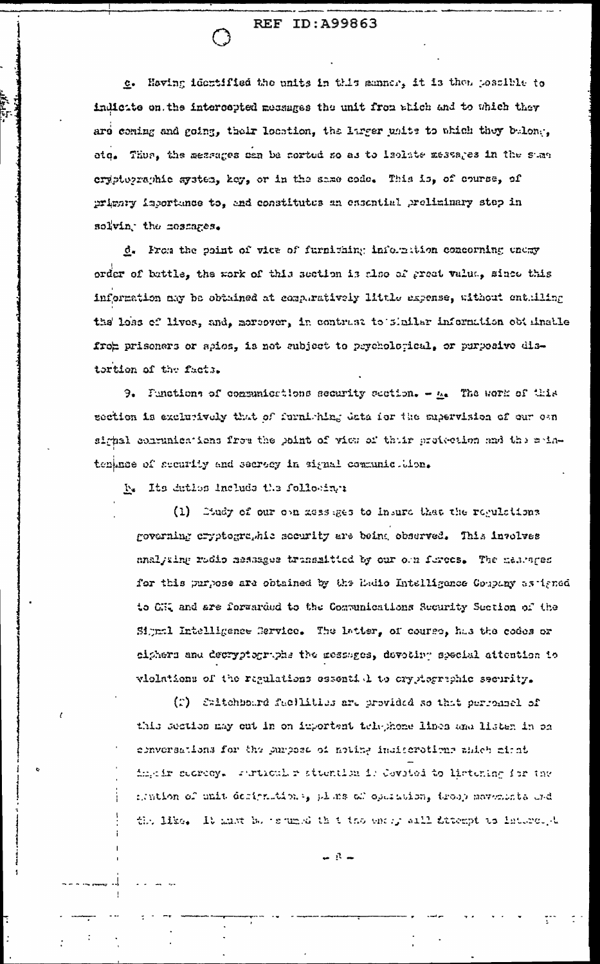c. Having identified the units in this manner, it is then possible to indictie on the intercepted messages the unit from abich and to which they are coming and going, their location, the larger units to which they belong, etq. Thus, the messages can be corted so as to leclate messages in the stas cryptographic system, key, or in the same code. This is, of course, of prignty importance to, and constitutes an ensemial preliminary step in solving the mossages.

d. From the point of vice of furnithing informition concerning energy order of battle, the work of this section is also of great value, since this information may be obtained at comparatively little expense, without enthiling the loss of lives, and, mersover, in contrast to shaller information obtainable from prisoners or apios, is not aubject to peychological, or purposive distortion of the facts.

9. Functions of communications security section. -  $h$ . The work of this section is excludively that of furniching data for the supervision of our oan sighal contuniontions from the point of view of thuir protection and the maintenance of security and secrecy in signal communic. Mon.

D. Its datios include the following:

(1) Condy of our open assesses to insure that the regulations governing cryptographic security are being observed. This involves analyting radio messages transmitted by our orn ferces. The mestages for this purpose are obtained by the Ladio Intelligence Coupany as igned to CHI and are forwarded to the Communications Security Section of the Signal Intelligence Service. The latter, of course, has the codes or ciphers and decryptographs the messages, devoting special attention to violations of the regulations essential to cryptographic security.

(2) Saltchbourd facilities are provided so that perfonnel of this section may out in on important telephone lines and listen in on conversations for the purpose of noting indicerations ableh airst impeir sucreey. Furtionler studition 1: Covoted to listening for the mention of unit designations, plans af operation, troop movements and the like. It must be promode that the energy sail frompt to interest-t

 $\blacksquare$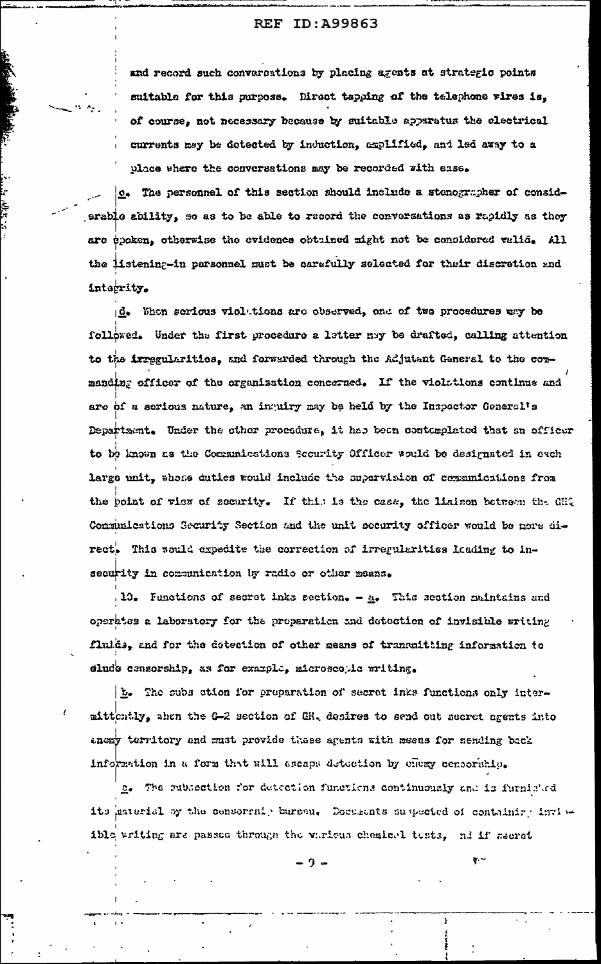and record such conversations by placing agents at strategic points suitable for this purpose. Direct tapping of the telephone vires is, of course, not necessary because by suitable apparatus the electrical currents mey be dotected by induction, amplified, and led away to a place where the conversations may be recorded with asse.

c. The personnel of this section should include a stenographer of considerable ability, so as to be able to record the conversations as rapidly as they are ppoken, otherwise the evidence obtained might not be considered valid. All the listening-in parsonnel must be carefully scleated for their discretion and integrity.

is<br>St

d. When serious violations are observed, one of two procedures way be followed. Under the first procedure a letter may be drafted, calling attention to the irregularities, and forwarded through the Adjutant General to the conmanding officer of the organization concerned. If the violations continue and are of a serious nature, an inquiry may be held by the Inspector General's Department. Under the other procedure, it has been contemplated that an officer to be known as the Communications Scourity Officer would be designated in each large unit, whose duties would include the supervision of communications from the point of view of security. If this is the case, the liaison between the GHQ Communications Security Section and the unit security officer would be nore direct. This sould expedite the correction of irregularities loading to insecurity in communitation by radio or other means.

10. Functions of secret inks section. - A. This section maintains and operates a laboratory for the preparation and detection of invisible writing fluids, and for the detection of other means of transmitting information to clude censorship, as for example, microscopic mriting.

 $\frac{1}{2}$ . The subs stion for preparation of secret inks functions only intermittently, ahen the G-2 section of GR. desires to send out secret agents into tness territory and must provide these agents with seens for sending back information in a form that will escape detection by energy consoriatio.

g. The rubiection for detection functions continuously and is furnished its paterial by the censoral, bursen. Deceasits suspected of containing invisible writing are passed through the various chemical tests, ad if secret

 $\sigma -$ 

Ť.

⊷ ? ∞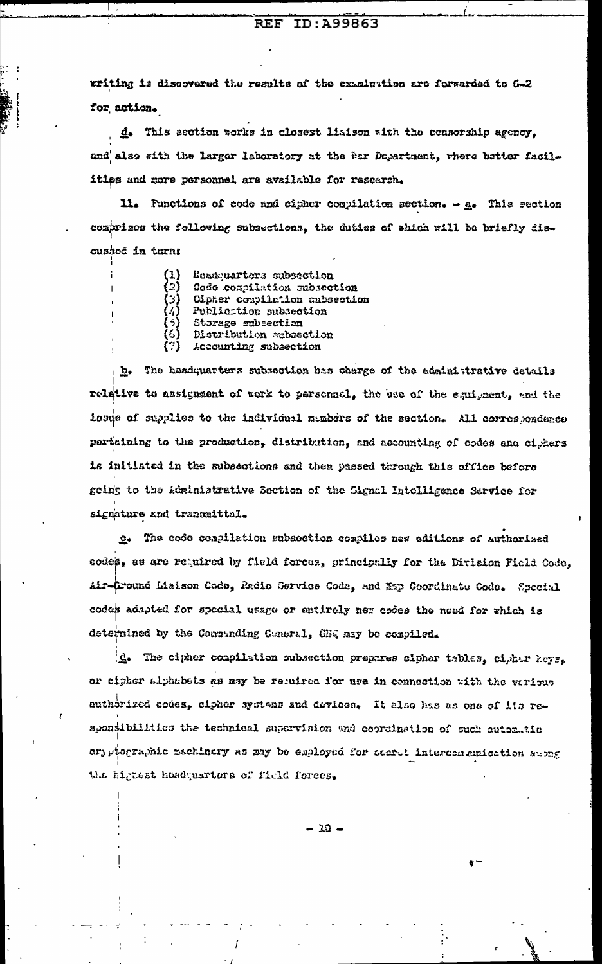#### ID: A99863 **REF**

writing is discovered the results of the examination are forwarded to G-2 for action.

d. This section works in closest liaison with the consorship agency, and also with the larger laboratory at the Per Department, where better facilitips and more personnel are available for research.

11. Punctions of code and cipher compilation section.  $-$  a. This section comprisos the following subsections, the duties of which will be briefly discussod in turn;

| (1)          | Hoadquarters subsection       |
|--------------|-------------------------------|
| (2)          | Code compilation subsection   |
| (3)          | Cipher compilation aubsection |
| $\lambda$    | Publication subsection        |
| ( ?)<br>( ?) | Storage subsection            |
|              | Distribution rabasetion       |
| (?)          | <i>Leeounting subsection</i>  |

b. The headquarters subsection has charge of the administrative details relative to assignment of work to personnel, the use of the equipment, and the issue of supplies to the individual manders of the section. All correspondence pertaining to the production, distribution, and accounting of codes and ciphers is initiated in the subsections and then passed through this office before geing to the Administrative Section of the Signal Intelligence Sarvice for signature and tranomittal.

c. The code compilation subsection compiles new editions of authorized codes, as are required by field forces, principally for the Division Picld Code. Air-Cround Liaison Code, Radio Cervice Code, and Exp Coordinate Code. Special codes adapted for special usage or entirely new cries the need for which is determined by the Commanding Cuneral, GEG may be compiled.

d. The cipher compilation subsection prepares cipher tables, cipher keys. or cipher alphabets as may be reguired for use in connection with the various authorized codes, cipher systems and devices. It also has as one of its reaponsibilities the technical supervision and coordination of such automatic ory piographic mechinory as may be exployed for sourct intercommunication submg the highest headquarters of field forces.

 $-10 -$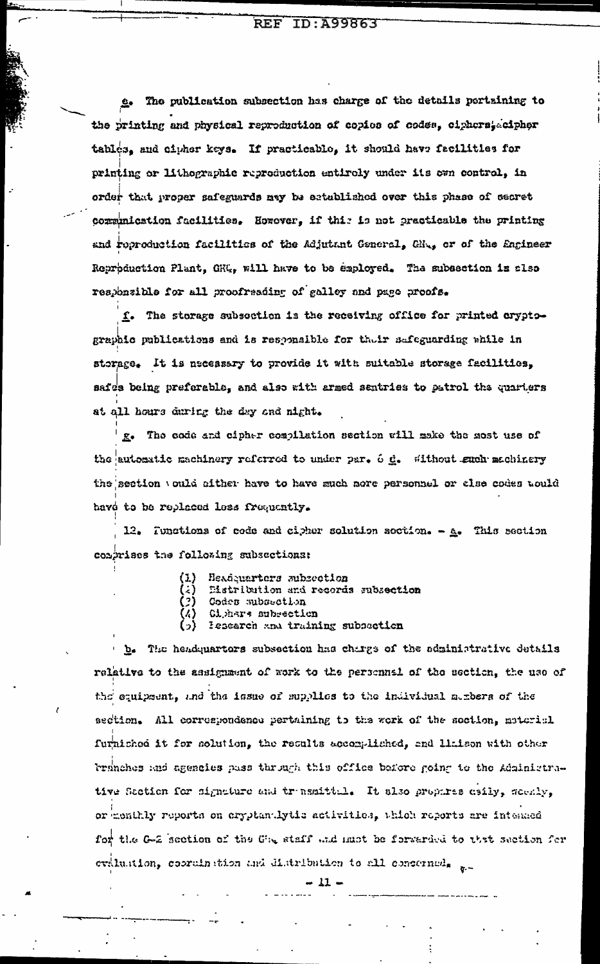e. The publication subsection has charge of the details pertaining to the printing and physical reproduction of copies of codes, ciphoratecipher tables, and cipher keys. If practicable, it should have facilities for printing or lithographic reproduction entiroly under its own control, in order that proper safeguards may be established over this phase of secret correnication facilities. However, if this is not practicable the printing and reproduction facilities of the Adjutant General, GHA, or of the Engineer Reproduction Plant, CRU<sub>s</sub>, will have to be employed. The subsection is also responsible for all proofreading of galley and page proofs.

f. The storage subsection is the receiving office for printed cryptographic publications and is responsible for their safeguarding while in storage. It is necessary to provide it with suitable storage facilities, safes being preferable, and also with armed sentries to patrol the quarters at all hours during the day and night.

g. The code and cipher compilation section will make the most use of the automatic machinery referred to under par. 6 d. Without such machinery the section vould cither have to have such nore personnel or clse codes would have to be replaced less frequently.

12. Tunctions of code and cipher solution soction.  $-\underline{a}$ . This section comprises the following subsections:

- (1) Headquarters subsection
- Eistribution and records subsection
- Codes subsection
- Gighers subsection
- lesearch and training subsection

b. The headquarters subsection has charge of the administrative details relative to the assignment of work to the personnel of the esotion, the use of the equipment, and the issue of supplies to the individual members of the section. All correspondence pertaining to the sork of the soction, material furnished it for solution, the results accomplished, and limited with other branches and agencies pass through this office before going to the Administrative Saction for signature and transmittal. It slso prophres esily, socaly, or memihly reports on cryptandytic activities, which reports are intended for the G-2 section of the Che staff and must be forwarded to that saction for evaluation, cooraination and distribution to all conserned,  $\pi$ 

-17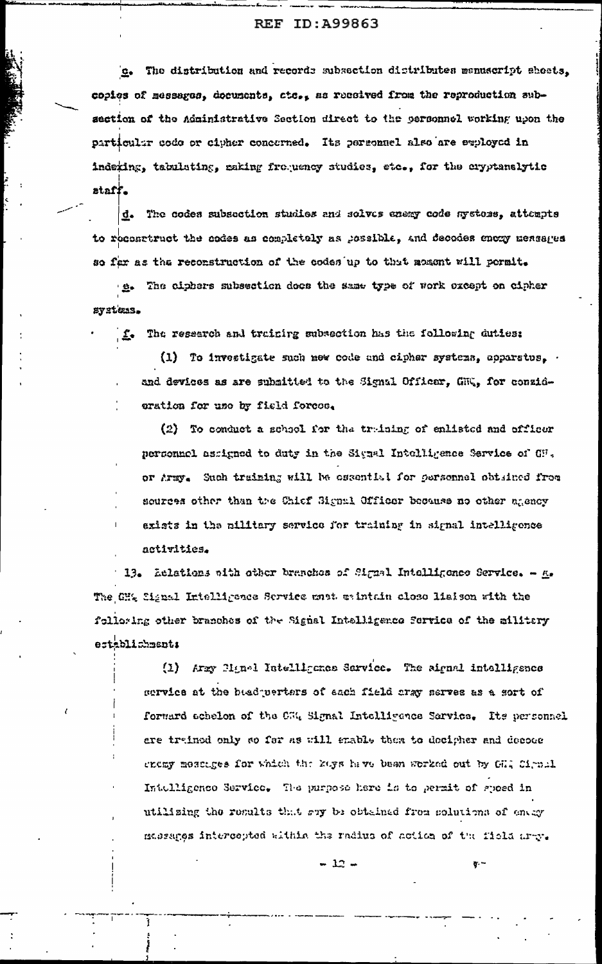The distribution and records subsection distributes menuscript sheets,  $C_{\bullet}$ copies of messages, documents, ctc., as received from the reproduction subsection of the Administrative Section direct to the personnel working upon the particular code or cipher concerned. Its personnel also are exployed in indering, tabulating, making froquency studies, etc., for the cryptanalytic staff.

d. The codes subsection studies and solves energ code systems, attempts to reconstruct the codes as completely as possible, and decodes enery messages so far as the reconstruction of the codes up to that moment will permit.

e. The ciphers subsection does the same type of work oxcept on cipher systems.

f. The research and training subsection has the following duties:

(1) To investigate such new code and cipher systems, apparatus, and devices as are submitted to the Signal Officar, GMG, for conzidoration for use by field forces.

(2) To conduct a school for the traing of enlisted and officer personnel assigned to duty in the Signal Intelligence Service of GH. or Army. Such training will be osential for personnel obtained from sources other than the Chief Signal Officer because no other agency exists in the military service for training in signal intelligence activities.

13. Aclations with other branches of Signal Intelligence Service.  $\mu$ . The GH% Signal Intelligence Service mest waintain close liaison with the folloring other branches of the Signal Intelligence ferrice of the militery establichments

> (1) Army Hinel Intelligence Service. The aignal intelligence service at the basd perters of each field cray serves as a sort of forward achelon of the CEQ Signal Intelligence Sarvice. Its personnel ere trained only so for as will enable them to decipher and decode cnomy messages for which the kays have been worked out by GH4 Cirnal Intelligence Service. The purpose here is to permit of speed in utilizing the results that suy be obtained from solutions of energy masages intercepted within the radius of action of the field arry.

> > $-12 -$

 $\overline{q}$ .  $\overline{q}$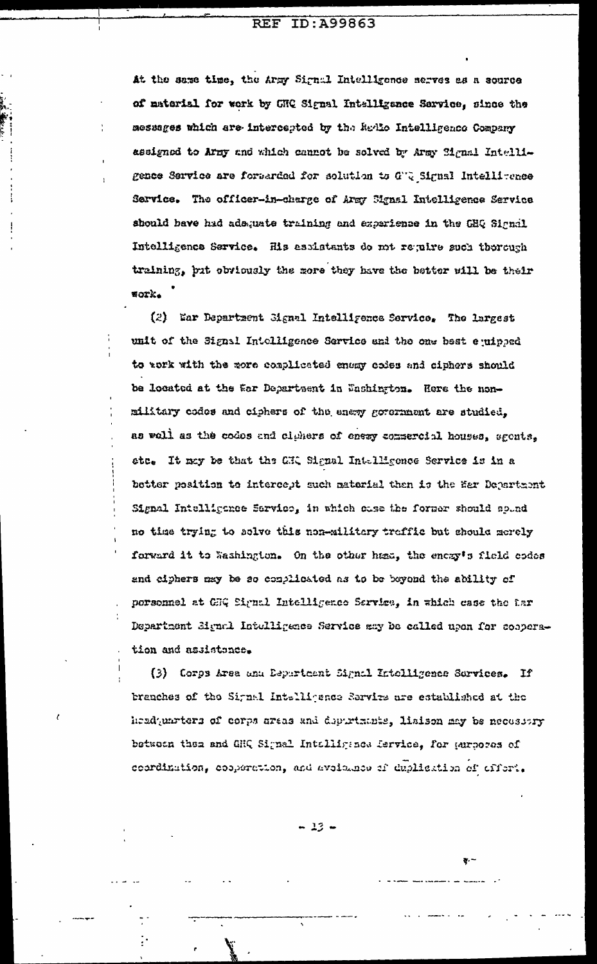#### **REF** ID:A99863

At the same time, the Army Signal Intelligence serves as a source of material for work by GHQ Signal Intalligence Service, since the messages which are intercepted by the Redio Intelligence Company assigned to Army and which cannot be solved by Army Signal Intelligence Service are formarded for solution to G'Q Signal Intellitence Service. The officer-in-charge of Army Signal Intelligence Service should have hid adsquate training and experience in the GHQ Signal Intelligence Service. His assistants do mt require such therough training, but obviously the more they have the better will be their **Work.** 

(2) War Department Signal Intelligence Service. The largest unit of the Signal Intelligence Service and the one best equipped to rork with the wore complicated energy codes and ciphers should be located at the far Department in Eashington. Here the nonmilitary codes and ciphers of the enery government are studied, as well as the codes and clumers of enexy commercial houses, sgents, ste. It may be that the CHQ Signal Intelligence Service is in a better position to intercept such material then is the Ser Department Signal Intelligence Sarvice, in which case the former should spund no time trying to solve this non-military traffic but should merely forward it to Washington. On the other ham, the energ's field codes and ciphers may be so conplicated as to be beyond the ability of porsonnel at GEQ Signal Intelligence Sarvice, in which case the far Department Bignal Intelligence Service may be called upon for cooperation and assistance.

(3) Corps Arsa and Department Signal Intolligence Services. If branches of the Signal Intelligence Service are established at the headquarters of corps areas and depurtmants, liaison may be necessary betwoon then and GHQ Signal Intolligance fervice, for purpores of coordination, cooperation, and avoisines of duplication of affort.

 $-13 -$ 

ক- –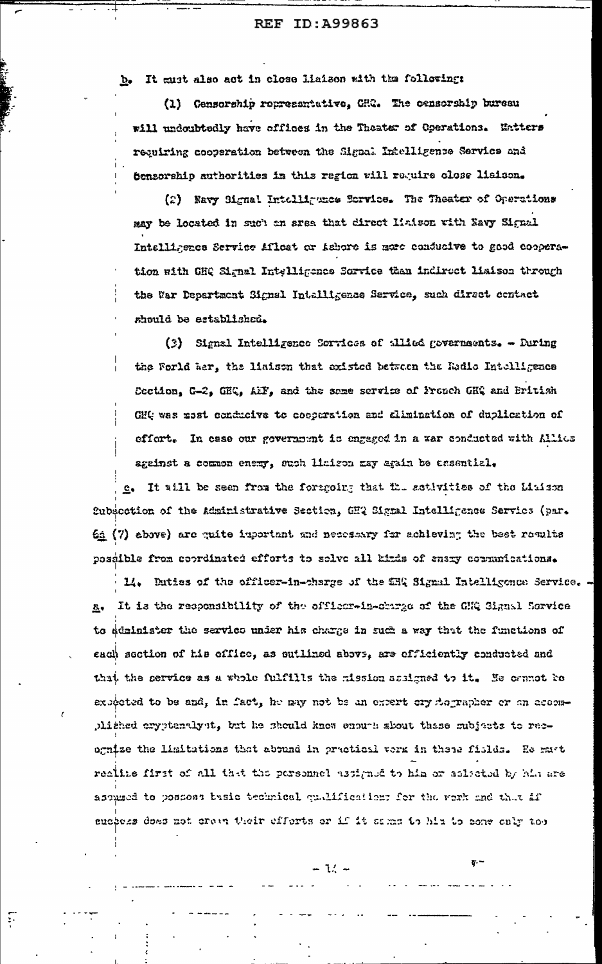b. It must also act in close liaison with the following:

(1) Censorship representative, CHC. The censorship bureau will undoubtedly have affices in the Theater of Operations. Untters requiring cooperation between the Signal Intelligence Service and Sensorship authorities in this region will require close lisison.

(2) Eavy Signal Intelliguness Service. The Theater of Operations may be located in such an srea that direct liaison with Navy Signal Intelligence Service Aflost or Ashors is mare conducive to good cooperation with GHQ Signal Intelligence Sorvice than indirect liaison through the War Department Signal Intelligence Service, such direct centact should be established.

(3) Signal Intelligence Sorvices of allied governments. - During the Forld War, the liaison that existed between the Radio Intelligence Section, C-2, GEC, AEF, and the same service of French GEQ and British GHt was most conducive to cooperation and alimination of duplication of effort. In case our government is engaged in a war conducted with Allies against a common enemy, such limison may again be assential.

e. It will be seen from the foregoing that the activities of the Linison Subsection of the Administrative Section, CHQ Signal Intelligence Servics (par. 64 (7) above) are quite inportant and necessary for achieving the best results possible from coordinated efforts to solve all kinds of snary communications.

14. Duties of the officer-in-charge of the CRQ Signal Intelligence Service. . It is the responsibility of the officer-in-charge of the GHQ Signal Service  $\mathbf{a}$ to administer the service under his charge in such a way that the functions of each section of his office, as cutlined abovs, are efficiently conducted and that the service as a whole fulfills the mission assigned to it. He cannot be expected to be and, in fact, he may not be an expert cry formapher or an accomphished aryptenulyst, but he should know enough about thase subjects to recognize the limitations that abound in practical verk in these fields. He mast realize first of all that the personnel ustigate to him or selected by him are assumed to possess basic technical qualifications for the work and that if suspess does not crain their efferts or if it sams to him to conv only too

 $\mathcal{L}$ 

 $\mathbf{r}$ 

..<br>7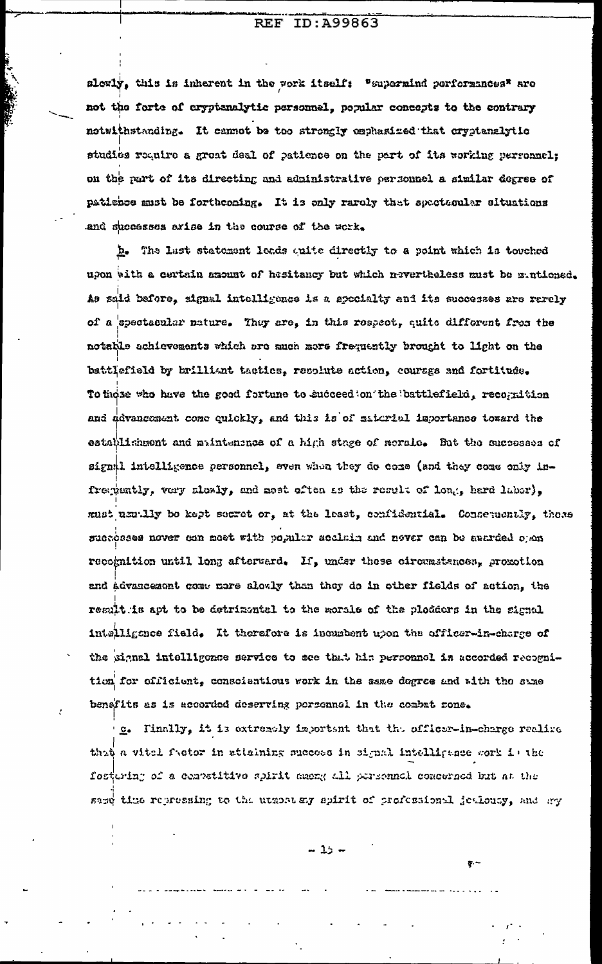slewly, this is inherent in the work itself: "supermind performances" are not the forte of cryptanalytic personnel, popular concepts to the contrary notwithstanding. It cannot be too strongly omphasized that cryptanalytic studies require a great deal of patience on the part of its working personnel; on the part of its directing and administrative personnel a similar degree of patience must be forthconing. It is only rarely that spectacular situations and mucosses arise in the course of the work.

b. The last statement leads quite directly to a point which is touched upon with a certain amount of hesitancy but which nevertheless must be mintioned. As said before, signal intolligence is a specialty and its successes are rarely of a spectacular nature. They are, in this respect, quite different from the notable achievements which are much more frequently brought to light on the battlefield by brilliant tactics, recolute action, courage and fortitude. To those who have the good fortune to succeed on the battlefield, recognition and advancement come quickly, and this is of material importance toward the establishment and maintenance of a high stage of morale. But the successes of signal intelligence personnel, sven when they do come (and they come only infrequently, very slowly, and most often as the result of long, hard labor). must uzutlly be kept secret or, at the least, confidential. Conseruently, these suchosses nover can maet with popular scalain and never can be asarded open recognition until long afterward. If, under these circumstances, proxotion and advancement come more slowly than they do in other fields of action. the result is apt to be detrimental to the worsle of the plodders in the signal intelligence field. It therefore is incumbent upon the officer-in-charge of the signal intelligence service to see that his personnel is accorded recognition for officient, conscientious work in the same degree and with the same benefits as is accorded deserving parsonnel in the combat rone.

e. Finally, it is extremely important that the officer-in-charge realize that a vital factor in attaining success in signal intelligence work is the fostering of a convetitive spirit among all personnel comperned but at the same time repressing to the utmoster spirit of professional jewiousy, and any

 $-15 -$ 

 $\overline{v}$ . –